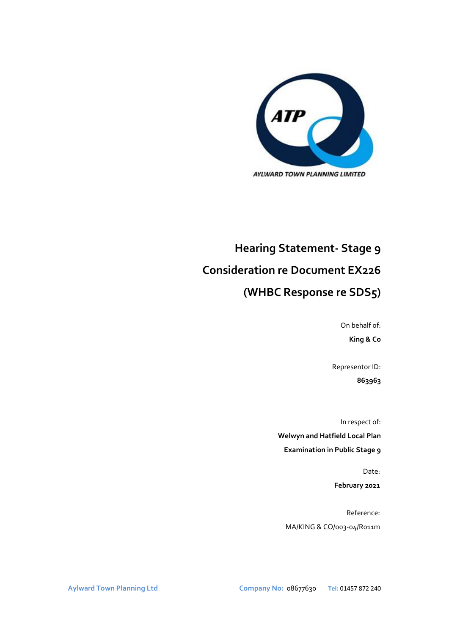

# **Hearing Statement- Stage 9 Consideration re Document EX226**

# **(WHBC Response re SDS5)**

On behalf of: **King & Co**

Representor ID: **863963**

In respect of: **Welwyn and Hatfield Local Plan Examination in Public Stage 9**

> Date: **February 2021**

Reference: MA/KING & CO/003-04/R011m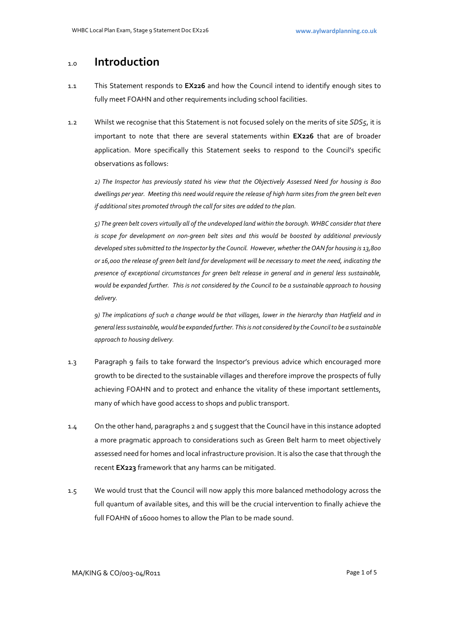# 1.0 **Introduction**

- 1.1 This Statement responds to **EX226** and how the Council intend to identify enough sites to fully meet FOAHN and other requirements including school facilities.
- 1.2 Whilst we recognise that this Statement is not focused solely on the merits of site *SDS5*, it is important to note that there are several statements within **EX226** that are of broader application. More specifically this Statement seeks to respond to the Council's specific observations as follows:

*2) The Inspector has previously stated his view that the Objectively Assessed Need for housing is 800 dwellings per year. Meeting this need would require the release of high harm sites from the green belt even if additional sites promoted through the call for sites are added to the plan.*

*5) The green belt covers virtually all of the undeveloped land within the borough. WHBC consider that there*  is scope for development on non-green belt sites and this would be boosted by additional previously *developed sites submitted to the Inspector by the Council. However, whether the OAN for housing is 13,800 or 16,000 the release of green belt land for development will be necessary to meet the need, indicating the presence of exceptional circumstances for green belt release in general and in general less sustainable, would be expanded further. This is not considered by the Council to be a sustainable approach to housing delivery.*

*9) The implications of such a change would be that villages, lower in the hierarchy than Hatfield and in general less sustainable, would be expanded further. This is not considered by the Council to be a sustainable approach to housing delivery.*

- 1.3 Paragraph 9 fails to take forward the Inspector's previous advice which encouraged more growth to be directed to the sustainable villages and therefore improve the prospects of fully achieving FOAHN and to protect and enhance the vitality of these important settlements, many of which have good access to shops and public transport.
- 1.4 On the other hand, paragraphs 2 and 5 suggest that the Council have in this instance adopted a more pragmatic approach to considerations such as Green Belt harm to meet objectively assessed need for homes and local infrastructure provision. It is also the case that through the recent **EX223** framework that any harms can be mitigated.
- 1.5 We would trust that the Council will now apply this more balanced methodology across the full quantum of available sites, and this will be the crucial intervention to finally achieve the full FOAHN of 16000 homes to allow the Plan to be made sound.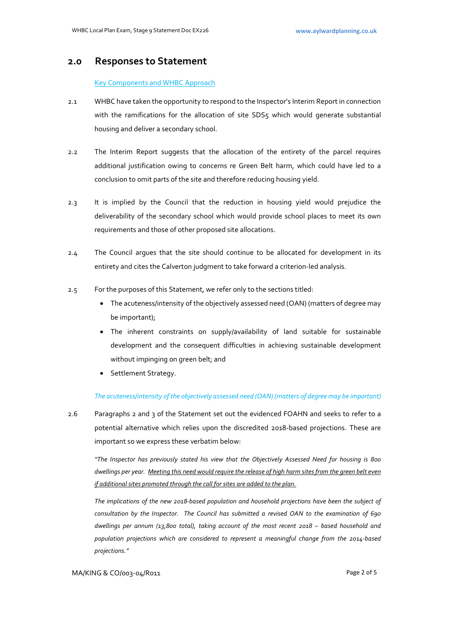## **2.0 Responses to Statement**

### Key Components and WHBC Approach

- 2.1 WHBC have taken the opportunity to respond to the Inspector's Interim Report in connection with the ramifications for the allocation of site SDS5 which would generate substantial housing and deliver a secondary school.
- 2.2 The Interim Report suggests that the allocation of the entirety of the parcel requires additional justification owing to concerns re Green Belt harm, which could have led to a conclusion to omit parts of the site and therefore reducing housing yield.
- 2.3 It is implied by the Council that the reduction in housing yield would prejudice the deliverability of the secondary school which would provide school places to meet its own requirements and those of other proposed site allocations.
- 2.4 The Council argues that the site should continue to be allocated for development in its entirety and cites the Calverton judgment to take forward a criterion-led analysis.
- 2.5 For the purposes of this Statement, we refer only to the sections titled:
	- The acuteness/intensity of the objectively assessed need (OAN) (matters of degree may be important);
	- The inherent constraints on supply/availability of land suitable for sustainable development and the consequent difficulties in achieving sustainable development without impinging on green belt; and
	- Settlement Strategy.

#### *The acuteness/intensity of the objectively assessed need (OAN) (matters of degree may be important)*

2.6 Paragraphs 2 and 3 of the Statement set out the evidenced FOAHN and seeks to refer to a potential alternative which relies upon the discredited 2018-based projections. These are important so we express these verbatim below:

*"The Inspector has previously stated his view that the Objectively Assessed Need for housing is 800 dwellings per year. Meeting this need would require the release of high harm sites from the green belt even if additional sites promoted through the call for sites are added to the plan.*

*The implications of the new 2018-based population and household projections have been the subject of consultation by the Inspector. The Council has submitted a revised OAN to the examination of 690 dwellings per annum (13,800 total), taking account of the most recent 2018 – based household and population projections which are considered to represent a meaningful change from the 2014-based projections."*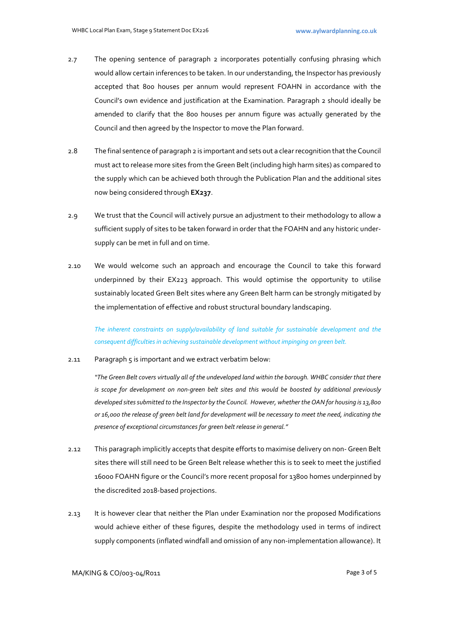- 2.7 The opening sentence of paragraph 2 incorporates potentially confusing phrasing which would allow certain inferences to be taken. In our understanding, the Inspector has previously accepted that 800 houses per annum would represent FOAHN in accordance with the Council's own evidence and justification at the Examination. Paragraph 2 should ideally be amended to clarify that the 800 houses per annum figure was actually generated by the Council and then agreed by the Inspector to move the Plan forward.
- 2.8 The final sentence of paragraph 2 is important and sets out a clear recognition that the Council must act to release more sites from the Green Belt (including high harm sites) as compared to the supply which can be achieved both through the Publication Plan and the additional sites now being considered through **EX237**.
- 2.9 We trust that the Council will actively pursue an adjustment to their methodology to allow a sufficient supply of sites to be taken forward in order that the FOAHN and any historic undersupply can be met in full and on time.
- 2.10 We would welcome such an approach and encourage the Council to take this forward underpinned by their EX223 approach. This would optimise the opportunity to utilise sustainably located Green Belt sites where any Green Belt harm can be strongly mitigated by the implementation of effective and robust structural boundary landscaping.

*The inherent constraints on supply/availability of land suitable for sustainable development and the consequent difficulties in achieving sustainable development without impinging on green belt.*

2.11 Paragraph 5 is important and we extract verbatim below:

*"The Green Belt covers virtually all of the undeveloped land within the borough. WHBC consider that there is scope for development on non-green belt sites and this would be boosted by additional previously developed sites submitted to the Inspector by the Council. However, whether the OAN for housing is 13,800 or 16,000 the release of green belt land for development will be necessary to meet the need, indicating the presence of exceptional circumstances for green belt release in general."*

- 2.12 This paragraph implicitly accepts that despite efforts to maximise delivery on non- Green Belt sites there will still need to be Green Belt release whether this is to seek to meet the justified 16000 FOAHN figure or the Council's more recent proposal for 13800 homes underpinned by the discredited 2018-based projections.
- 2.13 It is however clear that neither the Plan under Examination nor the proposed Modifications would achieve either of these figures, despite the methodology used in terms of indirect supply components (inflated windfall and omission of any non-implementation allowance). It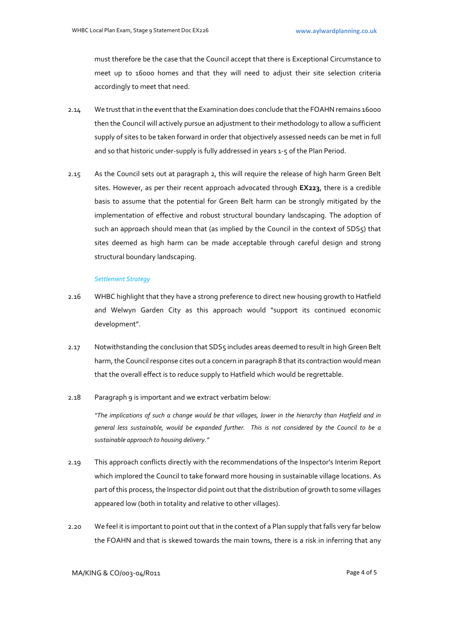must therefore be the case that the Council accept that there is Exceptional Circumstance to meet up to 16000 homes and that they will need to adjust their site selection criteria accordingly to meet that need.

- 2.14 We trust that in the eventthat the Examination does conclude that the FOAHN remains 16000 then the Council will actively pursue an adjustment to their methodology to allow a sufficient supply of sites to be taken forward in order that objectively assessed needs can be met in full and so that historic under-supply is fully addressed in years 1-5 of the Plan Period.
- 2.15 As the Council sets out at paragraph 2, this will require the release of high harm Green Belt sites. However, as per their recent approach advocated through **EX223**, there is a credible basis to assume that the potential for Green Belt harm can be strongly mitigated by the implementation of effective and robust structural boundary landscaping. The adoption of such an approach should mean that (as implied by the Council in the context of SDS5) that sites deemed as high harm can be made acceptable through careful design and strong structural boundary landscaping.

#### *Settlement Strategy*

- 2.16 WHBC highlight that they have a strong preference to direct new housing growth to Hatfield and Welwyn Garden City as this approach would "support its continued economic development".
- 2.17 Notwithstanding the conclusion that SDS5 includes areas deemed to result in high Green Belt harm, the Council response cites out a concern in paragraph 8 that its contraction would mean that the overall effect is to reduce supply to Hatfield which would be regrettable.
- 2.18 Paragraph 9 is important and we extract verbatim below:

*"The implications of such a change would be that villages, lower in the hierarchy than Hatfield and in general less sustainable, would be expanded further. This is not considered by the Council to be a sustainable approach to housing delivery."* 

- 2.19 This approach conflicts directly with the recommendations of the Inspector's Interim Report which implored the Council to take forward more housing in sustainable village locations. As part of this process, the Inspector did point out that the distribution of growth to some villages appeared low (both in totality and relative to other villages).
- 2.20 We feel it is important to point out that in the context of a Plan supply that falls very far below the FOAHN and that is skewed towards the main towns, there is a risk in inferring that any